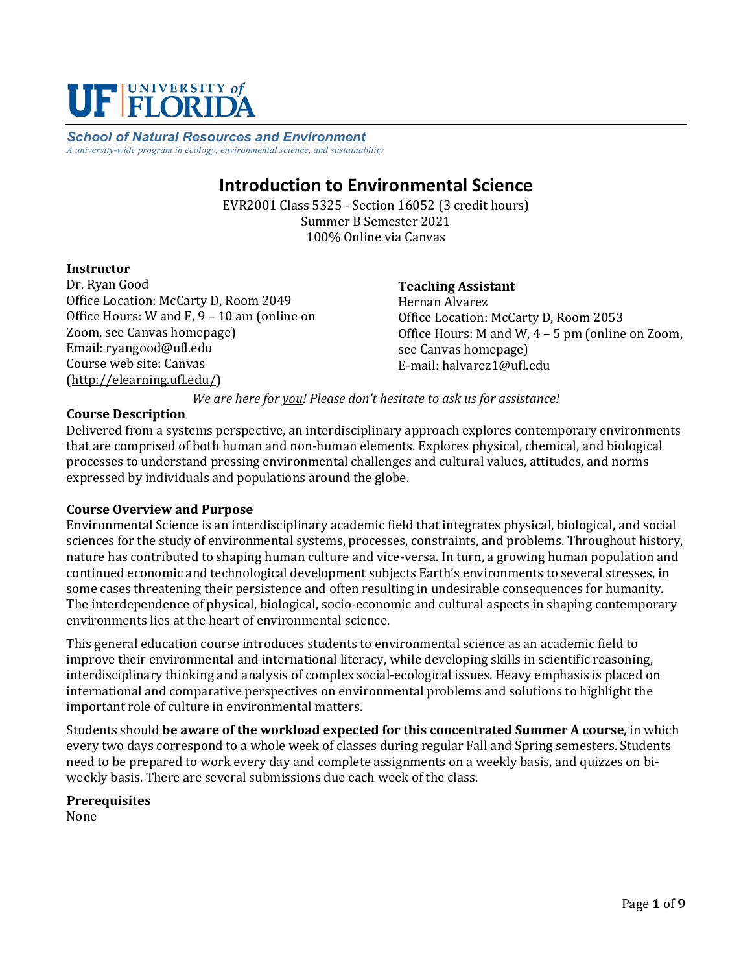

*School of Natural Resources and Environment A university-wide program in ecology, environmental science, and sustainability*

# **Introduction to Environmental Science**

EVR2001 Class 5325 - Section 16052 (3 credit hours) Summer B Semester 2021 100% Online via Canvas

#### **Instructor**

Dr. Ryan Good Office Location: McCarty D, Room 2049 Office Hours: W and  $F$ ,  $9 - 10$  am (online on Zoom, see Canvas homepage) Email: ryangood@ufl.edu Course web site: Canvas (http://elearning.ufl.edu/)

#### **Teaching Assistant**

Hernan Alvarez Office Location: McCarty D, Room 2053 Office Hours: M and W,  $4 - 5$  pm (online on Zoom, see Canvas homepage) E-mail: halvarez1@ufl.edu 

We are here for you! Please don't hesitate to ask us for assistance!

#### **Course Description**

Delivered from a systems perspective, an interdisciplinary approach explores contemporary environments that are comprised of both human and non-human elements. Explores physical, chemical, and biological processes to understand pressing environmental challenges and cultural values, attitudes, and norms expressed by individuals and populations around the globe.

#### **Course Overview and Purpose**

Environmental Science is an interdisciplinary academic field that integrates physical, biological, and social sciences for the study of environmental systems, processes, constraints, and problems. Throughout history, nature has contributed to shaping human culture and vice-versa. In turn, a growing human population and continued economic and technological development subjects Earth's environments to several stresses, in some cases threatening their persistence and often resulting in undesirable consequences for humanity. The interdependence of physical, biological, socio-economic and cultural aspects in shaping contemporary environments lies at the heart of environmental science.

This general education course introduces students to environmental science as an academic field to improve their environmental and international literacy, while developing skills in scientific reasoning, interdisciplinary thinking and analysis of complex social-ecological issues. Heavy emphasis is placed on international and comparative perspectives on environmental problems and solutions to highlight the important role of culture in environmental matters.

Students should be aware of the workload expected for this concentrated Summer A course, in which every two days correspond to a whole week of classes during regular Fall and Spring semesters. Students need to be prepared to work every day and complete assignments on a weekly basis, and quizzes on biweekly basis. There are several submissions due each week of the class.

**Prerequisites** None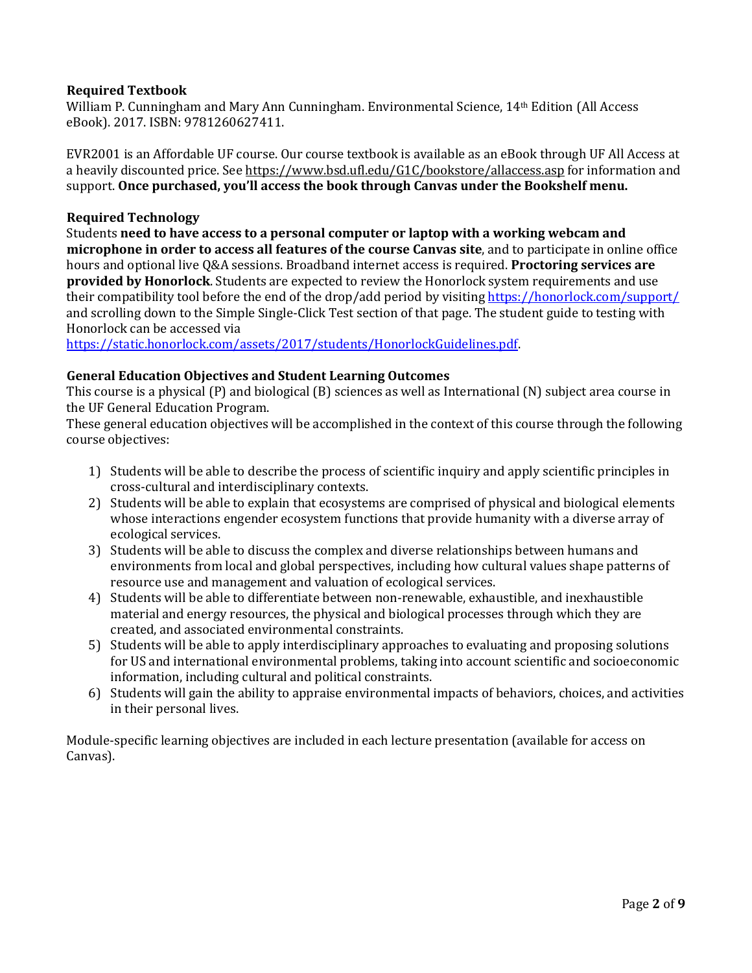## **Required Textbook**

William P. Cunningham and Mary Ann Cunningham. Environmental Science,  $14$ <sup>th</sup> Edition (All Access eBook). 2017. ISBN: 9781260627411.

EVR2001 is an Affordable UF course. Our course textbook is available as an eBook through UF All Access at a heavily discounted price. See https://www.bsd.ufl.edu/G1C/bookstore/allaccess.asp for information and support. Once purchased, you'll access the book through Canvas under the Bookshelf menu.

### **Required Technology**

Students need to have access to a personal computer or laptop with a working webcam and **microphone in order to access all features of the course Canvas site,** and to participate in online office hours and optional live O&A sessions. Broadband internet access is required. **Proctoring services are provided by Honorlock**. Students are expected to review the Honorlock system requirements and use their compatibility tool before the end of the drop/add period by visiting https://honorlock.com/support/ and scrolling down to the Simple Single-Click Test section of that page. The student guide to testing with Honorlock can be accessed via

https://static.honorlock.com/assets/2017/students/HonorlockGuidelines.pdf.

## **General Education Objectives and Student Learning Outcomes**

This course is a physical  $(P)$  and biological  $(B)$  sciences as well as International  $(N)$  subject area course in the UF General Education Program.

These general education objectives will be accomplished in the context of this course through the following course objectives:

- 1) Students will be able to describe the process of scientific inquiry and apply scientific principles in cross-cultural and interdisciplinary contexts.
- 2) Students will be able to explain that ecosystems are comprised of physical and biological elements whose interactions engender ecosystem functions that provide humanity with a diverse array of ecological services.
- 3) Students will be able to discuss the complex and diverse relationships between humans and environments from local and global perspectives, including how cultural values shape patterns of resource use and management and valuation of ecological services.
- 4) Students will be able to differentiate between non-renewable, exhaustible, and inexhaustible material and energy resources, the physical and biological processes through which they are created, and associated environmental constraints.
- 5) Students will be able to apply interdisciplinary approaches to evaluating and proposing solutions for US and international environmental problems, taking into account scientific and socioeconomic information, including cultural and political constraints.
- 6) Students will gain the ability to appraise environmental impacts of behaviors, choices, and activities in their personal lives.

Module-specific learning objectives are included in each lecture presentation (available for access on Canvas).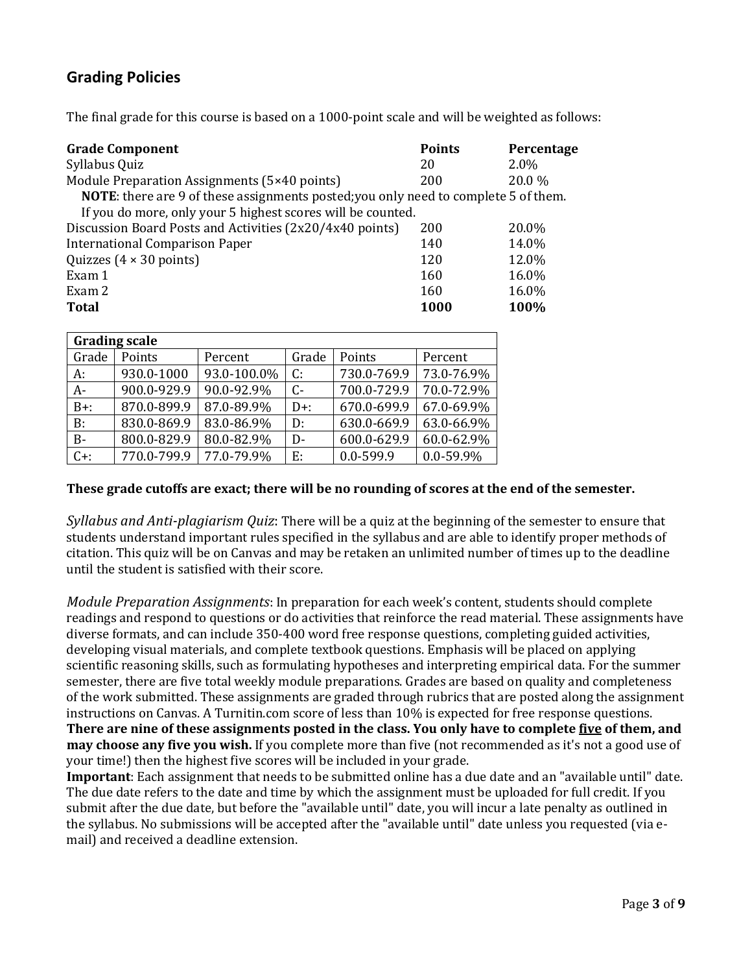## **Grading Policies**

The final grade for this course is based on a 1000-point scale and will be weighted as follows:

| <b>Grade Component</b>                                                                     | <b>Points</b> | Percentage |  |  |  |
|--------------------------------------------------------------------------------------------|---------------|------------|--|--|--|
| Syllabus Quiz                                                                              | 20            | 2.0%       |  |  |  |
| Module Preparation Assignments (5×40 points)                                               | 200           | 20.0%      |  |  |  |
| <b>NOTE:</b> there are 9 of these assignments posted; you only need to complete 5 of them. |               |            |  |  |  |
| If you do more, only your 5 highest scores will be counted.                                |               |            |  |  |  |
| Discussion Board Posts and Activities (2x20/4x40 points)                                   | 200           | 20.0%      |  |  |  |
| <b>International Comparison Paper</b>                                                      | 140           | 14.0%      |  |  |  |
| Quizzes $(4 \times 30 \text{ points})$                                                     | 120           | 12.0%      |  |  |  |
| Exam 1                                                                                     | 160           | 16.0%      |  |  |  |
| Exam 2                                                                                     | 160           | 16.0%      |  |  |  |
| <b>Total</b>                                                                               | 1000          | 100%       |  |  |  |

| <b>Grading scale</b> |             |             |        |             |            |  |  |
|----------------------|-------------|-------------|--------|-------------|------------|--|--|
| Grade                | Points      | Percent     | Grade  | Points      | Percent    |  |  |
| A:                   | 930.0-1000  | 93.0-100.0% | C:     | 730.0-769.9 | 73.0-76.9% |  |  |
| $A-$                 | 900.0-929.9 | 90.0-92.9%  | $C-$   | 700.0-729.9 | 70.0-72.9% |  |  |
| $B+$ :               | 870.0-899.9 | 87.0-89.9%  | $D+$ : | 670.0-699.9 | 67.0-69.9% |  |  |
| B:                   | 830.0-869.9 | 83.0-86.9%  | D:     | 630.0-669.9 | 63.0-66.9% |  |  |
| $B -$                | 800.0-829.9 | 80.0-82.9%  | $D -$  | 600.0-629.9 | 60.0-62.9% |  |  |
| $C+$ :               | 770.0-799.9 | 77.0-79.9%  | Е:     | 0.0-599.9   | 0.0-59.9%  |  |  |

#### These grade cutoffs are exact; there will be no rounding of scores at the end of the semester.

*Syllabus and Anti-plagiarism Quiz*: There will be a quiz at the beginning of the semester to ensure that students understand important rules specified in the syllabus and are able to identify proper methods of citation. This quiz will be on Canvas and may be retaken an unlimited number of times up to the deadline until the student is satisfied with their score.

*Module Preparation Assignments*: In preparation for each week's content, students should complete readings and respond to questions or do activities that reinforce the read material. These assignments have diverse formats, and can include 350-400 word free response questions, completing guided activities, developing visual materials, and complete textbook questions. Emphasis will be placed on applying scientific reasoning skills, such as formulating hypotheses and interpreting empirical data. For the summer semester, there are five total weekly module preparations. Grades are based on quality and completeness of the work submitted. These assignments are graded through rubrics that are posted along the assignment instructions on Canvas. A Turnitin.com score of less than 10% is expected for free response questions. There are nine of these assignments posted in the class. You only have to complete <u>five</u> of them, and **may choose any five you wish.** If you complete more than five (not recommended as it's not a good use of your time!) then the highest five scores will be included in your grade.

**Important**: Each assignment that needs to be submitted online has a due date and an "available until" date. The due date refers to the date and time by which the assignment must be uploaded for full credit. If you submit after the due date, but before the "available until" date, you will incur a late penalty as outlined in the syllabus. No submissions will be accepted after the "available until" date unless you requested (via email) and received a deadline extension.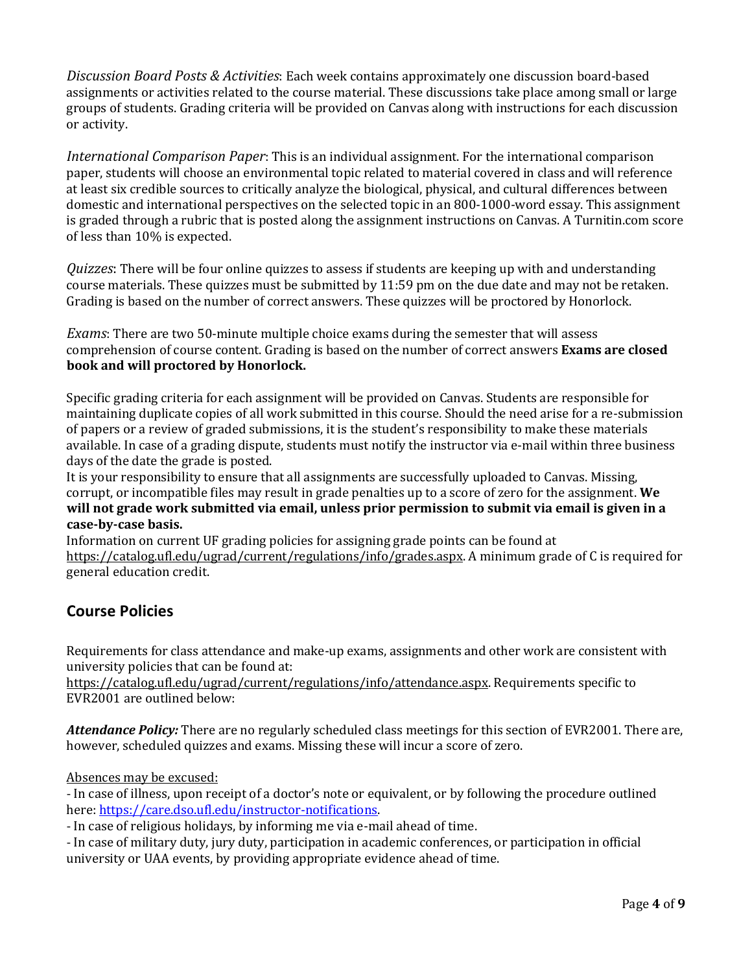*Discussion Board Posts & Activities*: Each week contains approximately one discussion board-based assignments or activities related to the course material. These discussions take place among small or large groups of students. Grading criteria will be provided on Canvas along with instructions for each discussion or activity.

*International Comparison Paper*: This is an individual assignment. For the international comparison paper, students will choose an environmental topic related to material covered in class and will reference at least six credible sources to critically analyze the biological, physical, and cultural differences between domestic and international perspectives on the selected topic in an 800-1000-word essay. This assignment is graded through a rubric that is posted along the assignment instructions on Canvas. A Turnitin.com score of less than 10% is expected.

*Quizzes*: There will be four online quizzes to assess if students are keeping up with and understanding course materials. These quizzes must be submitted by 11:59 pm on the due date and may not be retaken. Grading is based on the number of correct answers. These quizzes will be proctored by Honorlock.

*Exams*: There are two 50-minute multiple choice exams during the semester that will assess comprehension of course content. Grading is based on the number of correct answers **Exams are closed** book and will proctored by Honorlock.

Specific grading criteria for each assignment will be provided on Canvas. Students are responsible for maintaining duplicate copies of all work submitted in this course. Should the need arise for a re-submission of papers or a review of graded submissions, it is the student's responsibility to make these materials available. In case of a grading dispute, students must notify the instructor via e-mail within three business days of the date the grade is posted.

It is your responsibility to ensure that all assignments are successfully uploaded to Canvas. Missing, corrupt, or incompatible files may result in grade penalties up to a score of zero for the assignment. We will not grade work submitted via email, unless prior permission to submit via email is given in a case-by-case basis.

Information on current UF grading policies for assigning grade points can be found at https://catalog.ufl.edu/ugrad/current/regulations/info/grades.aspx. A minimum grade of C is required for general education credit.

# **Course Policies**

Requirements for class attendance and make-up exams, assignments and other work are consistent with university policies that can be found at:

https://catalog.ufl.edu/ugrad/current/regulations/info/attendance.aspx. Requirements specific to EVR2001 are outlined below:

Attendance Policy: There are no regularly scheduled class meetings for this section of EVR2001. There are, however, scheduled quizzes and exams. Missing these will incur a score of zero.

Absences may be excused:

- In case of illness, upon receipt of a doctor's note or equivalent, or by following the procedure outlined here: https://care.dso.ufl.edu/instructor-notifications.

- In case of religious holidays, by informing me via e-mail ahead of time.

- In case of military duty, jury duty, participation in academic conferences, or participation in official university or UAA events, by providing appropriate evidence ahead of time.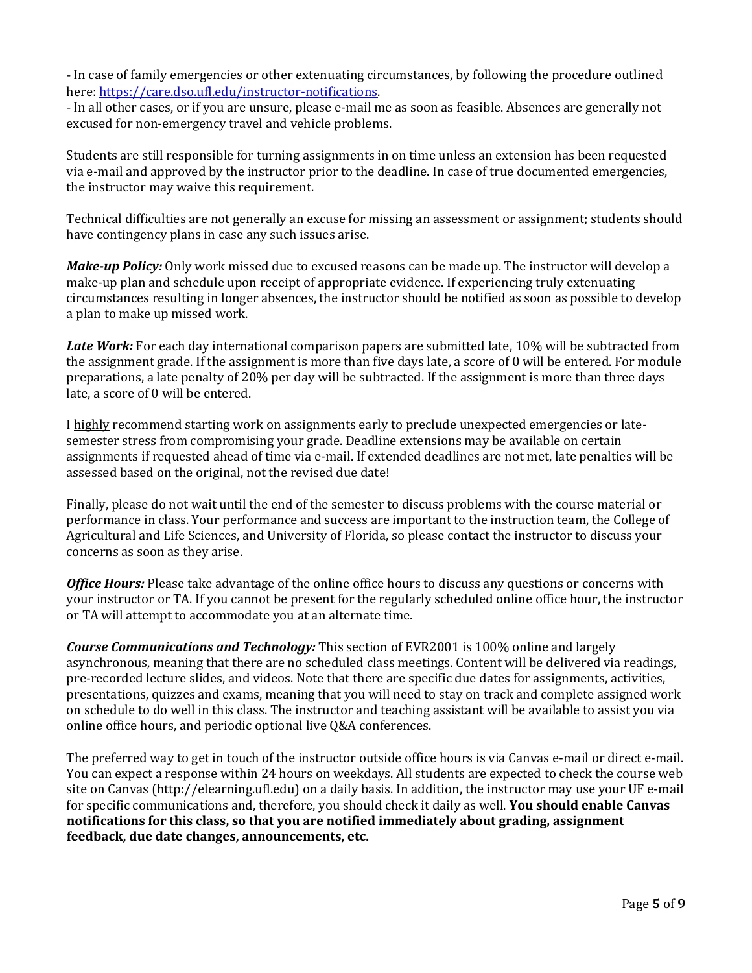- In case of family emergencies or other extenuating circumstances, by following the procedure outlined here: https://care.dso.ufl.edu/instructor-notifications.

- In all other cases, or if you are unsure, please e-mail me as soon as feasible. Absences are generally not excused for non-emergency travel and vehicle problems.

Students are still responsible for turning assignments in on time unless an extension has been requested via e-mail and approved by the instructor prior to the deadline. In case of true documented emergencies, the instructor may waive this requirement.

Technical difficulties are not generally an excuse for missing an assessment or assignment; students should have contingency plans in case any such issues arise.

*Make-up Policy:* Only work missed due to excused reasons can be made up. The instructor will develop a make-up plan and schedule upon receipt of appropriate evidence. If experiencing truly extenuating circumstances resulting in longer absences, the instructor should be notified as soon as possible to develop a plan to make up missed work.

**Late Work:** For each day international comparison papers are submitted late, 10% will be subtracted from the assignment grade. If the assignment is more than five days late, a score of 0 will be entered. For module preparations, a late penalty of 20% per day will be subtracted. If the assignment is more than three days late, a score of 0 will be entered.

I highly recommend starting work on assignments early to preclude unexpected emergencies or latesemester stress from compromising your grade. Deadline extensions may be available on certain assignments if requested ahead of time via e-mail. If extended deadlines are not met, late penalties will be assessed based on the original, not the revised due date!

Finally, please do not wait until the end of the semester to discuss problems with the course material or performance in class. Your performance and success are important to the instruction team, the College of Agricultural and Life Sciences, and University of Florida, so please contact the instructor to discuss your concerns as soon as they arise.

*Office Hours:* Please take advantage of the online office hours to discuss any questions or concerns with your instructor or TA. If you cannot be present for the regularly scheduled online office hour, the instructor or TA will attempt to accommodate you at an alternate time.

*Course Communications and Technology:* This section of EVR2001 is 100% online and largely asynchronous, meaning that there are no scheduled class meetings. Content will be delivered via readings, pre-recorded lecture slides, and videos. Note that there are specific due dates for assignments, activities, presentations, quizzes and exams, meaning that you will need to stay on track and complete assigned work on schedule to do well in this class. The instructor and teaching assistant will be available to assist you via online office hours, and periodic optional live Q&A conferences.

The preferred way to get in touch of the instructor outside office hours is via Canvas e-mail or direct e-mail. You can expect a response within 24 hours on weekdays. All students are expected to check the course web site on Canvas (http://elearning.ufl.edu) on a daily basis. In addition, the instructor may use your UF e-mail for specific communications and, therefore, you should check it daily as well. You should enable Canvas notifications for this class, so that you are notified immediately about grading, assignment feedback, due date changes, announcements, etc.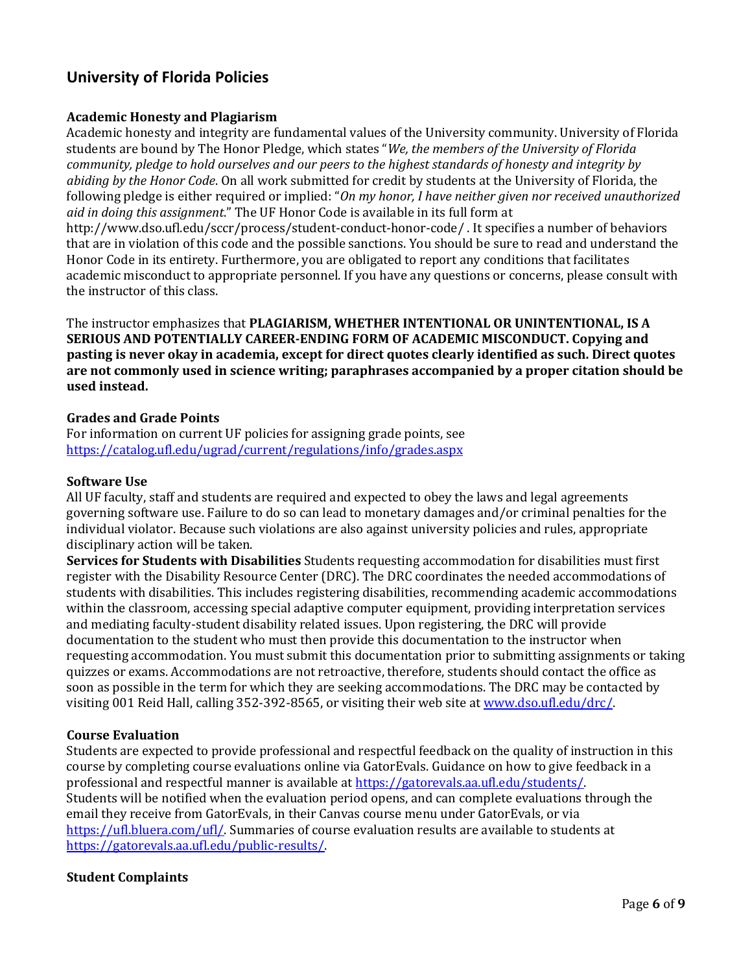## **University of Florida Policies**

## **Academic Honesty and Plagiarism**

Academic honesty and integrity are fundamental values of the University community. University of Florida students are bound by The Honor Pledge, which states "We, the members of the University of Florida *community, pledge to hold ourselves and our peers to the highest standards of honesty and integrity by abiding* by the Honor Code. On all work submitted for credit by students at the University of Florida, the following pledge is either required or implied: "On my honor, I have neither given nor received unauthorized *aid in doing this assignment*." The UF Honor Code is available in its full form at http://www.dso.ufl.edu/sccr/process/student-conduct-honor-code/ . It specifies a number of behaviors that are in violation of this code and the possible sanctions. You should be sure to read and understand the Honor Code in its entirety. Furthermore, you are obligated to report any conditions that facilitates academic misconduct to appropriate personnel. If you have any questions or concerns, please consult with

the instructor of this class.

The instructor emphasizes that PLAGIARISM, WHETHER INTENTIONAL OR UNINTENTIONAL, IS A **SERIOUS AND POTENTIALLY CAREER-ENDING FORM OF ACADEMIC MISCONDUCT. Copying and pasting is never okay in academia, except for direct quotes clearly identified as such. Direct quotes** are not commonly used in science writing; paraphrases accompanied by a proper citation should be used instead.

## **Grades and Grade Points**

For information on current UF policies for assigning grade points, see https://catalog.ufl.edu/ugrad/current/regulations/info/grades.aspx

#### **Software Use**

All UF faculty, staff and students are required and expected to obey the laws and legal agreements governing software use. Failure to do so can lead to monetary damages and/or criminal penalties for the individual violator. Because such violations are also against university policies and rules, appropriate disciplinary action will be taken.

**Services for Students with Disabilities** Students requesting accommodation for disabilities must first register with the Disability Resource Center (DRC). The DRC coordinates the needed accommodations of students with disabilities. This includes registering disabilities, recommending academic accommodations within the classroom, accessing special adaptive computer equipment, providing interpretation services and mediating faculty-student disability related issues. Upon registering, the DRC will provide documentation to the student who must then provide this documentation to the instructor when requesting accommodation. You must submit this documentation prior to submitting assignments or taking quizzes or exams. Accommodations are not retroactive, therefore, students should contact the office as soon as possible in the term for which they are seeking accommodations. The DRC may be contacted by visiting 001 Reid Hall, calling 352-392-8565, or visiting their web site at www.dso.ufl.edu/drc/.

#### **Course Evaluation**

Students are expected to provide professional and respectful feedback on the quality of instruction in this course by completing course evaluations online via GatorEvals. Guidance on how to give feedback in a professional and respectful manner is available at https://gatorevals.aa.ufl.edu/students/. Students will be notified when the evaluation period opens, and can complete evaluations through the email they receive from GatorEvals, in their Canvas course menu under GatorEvals, or via https://ufl.bluera.com/ufl/. Summaries of course evaluation results are available to students at https://gatorevals.aa.ufl.edu/public-results/.

#### **Student Complaints**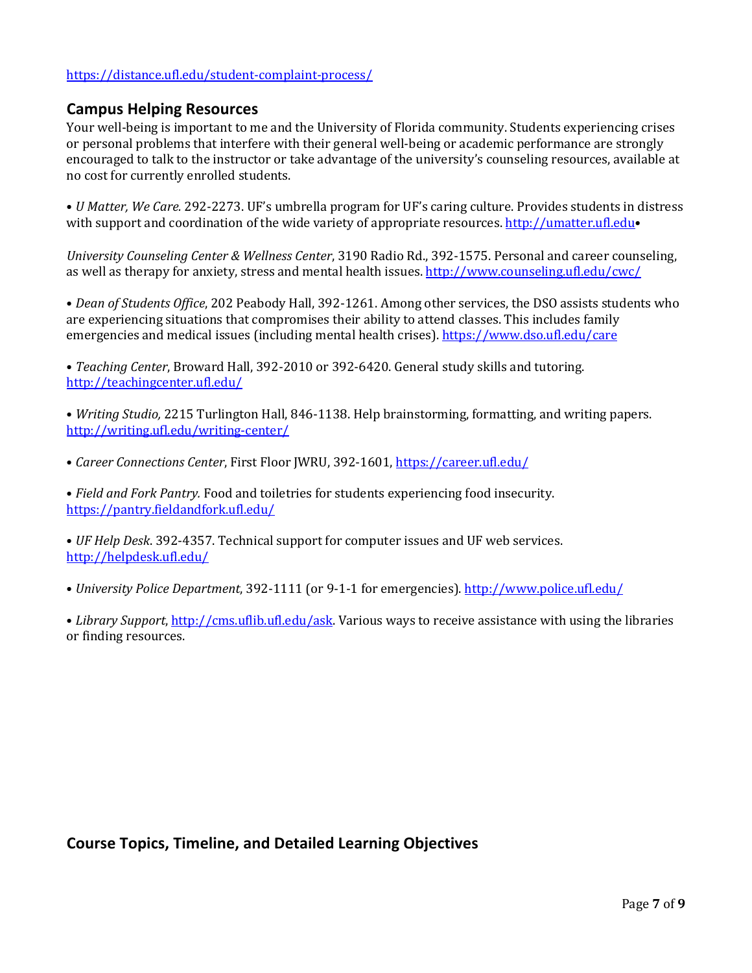## https://distance.ufl.edu/student-complaint-process/

## **Campus Helping Resources**

Your well-being is important to me and the University of Florida community. Students experiencing crises or personal problems that interfere with their general well-being or academic performance are strongly encouraged to talk to the instructor or take advantage of the university's counseling resources, available at no cost for currently enrolled students.

• *U Matter, We Care.* 292-2273. UF's umbrella program for UF's caring culture. Provides students in distress with support and coordination of the wide variety of appropriate resources. http://umatter.ufl.edu•

*University Counseling Center & Wellness Center*, 3190 Radio Rd., 392-1575. Personal and career counseling, as well as therapy for anxiety, stress and mental health issues.  $http://www.counseling.ufl.edu/cwc/$ 

• *Dean of Students Office*, 202 Peabody Hall, 392-1261. Among other services, the DSO assists students who are experiencing situations that compromises their ability to attend classes. This includes family emergencies and medical issues (including mental health crises). https://www.dso.ufl.edu/care

• Teaching Center, Broward Hall, 392-2010 or 392-6420. General study skills and tutoring. http://teachingcenter.ufl.edu/

• *Writing Studio,* 2215 Turlington Hall, 846-1138. Help brainstorming, formatting, and writing papers. http://writing.ufl.edu/writing-center/

• *Career Connections Center*, First Floor JWRU, 392-1601, https://career.ufl.edu/

• Field and Fork Pantry. Food and toiletries for students experiencing food insecurity. https://pantry.fieldandfork.ufl.edu/

• *UF Help Desk*. 392-4357. Technical support for computer issues and UF web services. http://helpdesk.ufl.edu/

• *University Police Department*, 392-1111 (or 9-1-1 for emergencies). http://www.police.ufl.edu/

• *Library Support*, http://cms.uflib.ufl.edu/ask. Various ways to receive assistance with using the libraries or finding resources.

## **Course Topics, Timeline, and Detailed Learning Objectives**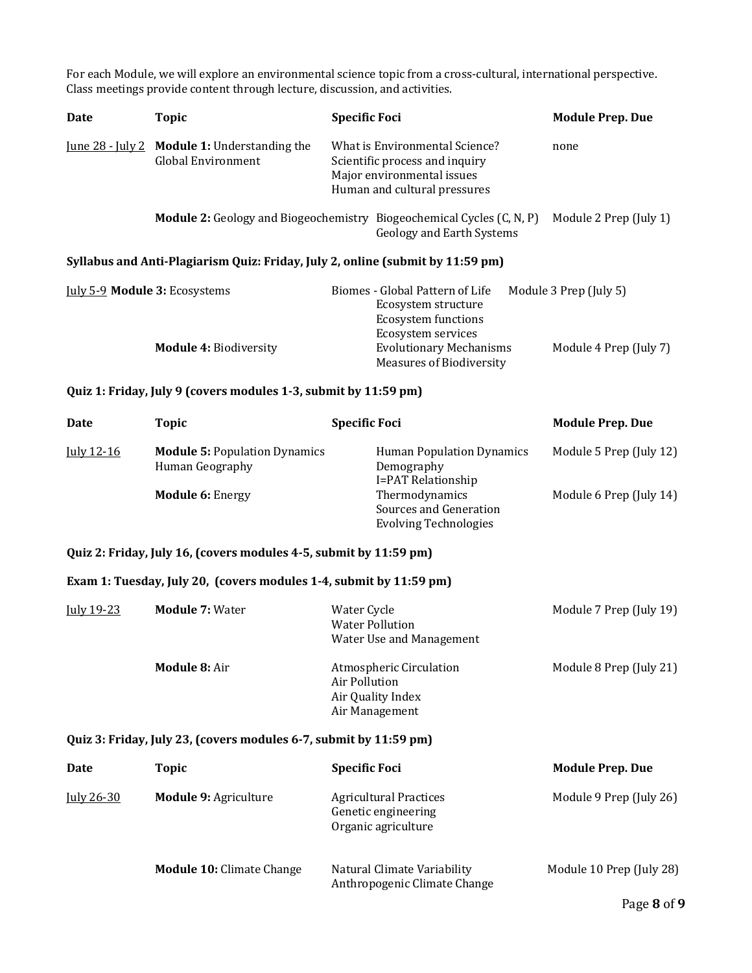For each Module, we will explore an environmental science topic from a cross-cultural, international perspective. Class meetings provide content through lecture, discussion, and activities.

| Date                                 | <b>Topic</b>                                                                   | <b>Specific Foci</b>                                                                                                           | <b>Module Prep. Due</b>  |
|--------------------------------------|--------------------------------------------------------------------------------|--------------------------------------------------------------------------------------------------------------------------------|--------------------------|
|                                      | June 28 - July 2 Module 1: Understanding the<br><b>Global Environment</b>      | What is Environmental Science?<br>Scientific process and inquiry<br>Major environmental issues<br>Human and cultural pressures | none                     |
|                                      |                                                                                | Module 2: Geology and Biogeochemistry Biogeochemical Cycles (C, N, P)<br><b>Geology and Earth Systems</b>                      | Module 2 Prep (July 1)   |
|                                      | Syllabus and Anti-Plagiarism Quiz: Friday, July 2, online (submit by 11:59 pm) |                                                                                                                                |                          |
| <b>Iuly 5-9 Module 3: Ecosystems</b> |                                                                                | Biomes - Global Pattern of Life<br>Ecosystem structure<br><b>Ecosystem functions</b>                                           | Module 3 Prep (July 5)   |
|                                      | <b>Module 4: Biodiversity</b>                                                  | Ecosystem services<br><b>Evolutionary Mechanisms</b><br><b>Measures of Biodiversity</b>                                        | Module 4 Prep (July 7)   |
|                                      | Quiz 1: Friday, July 9 (covers modules 1-3, submit by 11:59 pm)                |                                                                                                                                |                          |
| Date                                 | <b>Topic</b>                                                                   | <b>Specific Foci</b>                                                                                                           | <b>Module Prep. Due</b>  |
| July 12-16                           | <b>Module 5: Population Dynamics</b><br>Human Geography                        | <b>Human Population Dynamics</b><br>Demography<br>I=PAT Relationship                                                           | Module 5 Prep (July 12)  |
|                                      | <b>Module 6: Energy</b>                                                        | Thermodynamics<br>Sources and Generation<br><b>Evolving Technologies</b>                                                       | Module 6 Prep (July 14)  |
|                                      | Quiz 2: Friday, July 16, (covers modules 4-5, submit by 11:59 pm)              |                                                                                                                                |                          |
|                                      | Exam 1: Tuesday, July 20, (covers modules 1-4, submit by 11:59 pm)             |                                                                                                                                |                          |
| <b>July 19-23</b>                    | <b>Module 7: Water</b>                                                         | <b>Water Cycle</b><br><b>Water Pollution</b><br>Water Use and Management                                                       | Module 7 Prep (July 19)  |
|                                      | Module 8: Air                                                                  | Atmospheric Circulation<br><b>Air Pollution</b><br>Air Quality Index<br>Air Management                                         | Module 8 Prep (July 21)  |
|                                      | Quiz 3: Friday, July 23, (covers modules 6-7, submit by 11:59 pm)              |                                                                                                                                |                          |
| <b>Date</b>                          | <b>Topic</b>                                                                   | <b>Specific Foci</b>                                                                                                           | <b>Module Prep. Due</b>  |
| July 26-30                           | Module 9: Agriculture                                                          | <b>Agricultural Practices</b><br>Genetic engineering<br>Organic agriculture                                                    | Module 9 Prep (July 26)  |
|                                      | Module 10: Climate Change                                                      | Natural Climate Variability<br>Anthropogenic Climate Change                                                                    | Module 10 Prep (July 28) |